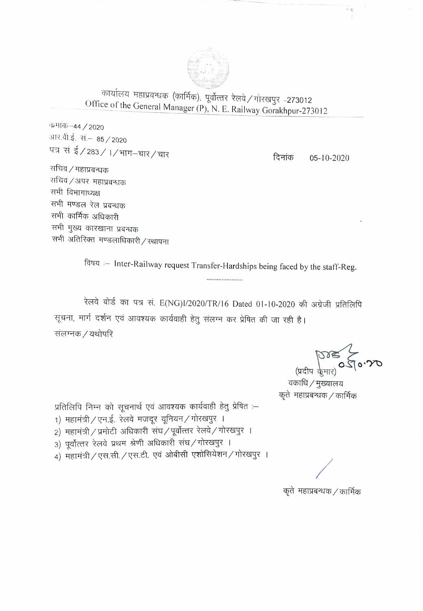

कार्यालय महाप्रबन्धक (कार्मिक), पूर्वोत्तर रेलवे / गोरखपुर -273012 Office of the General Manager (P), N. E. Railway Gorakhpur-273012

कर्माक–44 / 2020 आर.वी.ई. सं.– 85 / 2020 पत्र सं ई / 283 / । / भाग–चार / चार

दिनांक  $05 - 10 - 2020$ 

सचिव / महाप्रबन्धक सचिव ⁄ अपर महाप्रबन्धक सभी विभागाध्यक्ष सभी मण्डल रेल प्रबन्धक सभी कार्मिक अधिकारी सभी मुख्य कारखाना प्रबन्धक सभी अतिरिक्त मण्डलाधिकारी / रथापना

विषय :- Inter-Railway request Transfer-Hardships being faced by the staff-Reg.

.....................

रेलवे बोर्ड का पत्र सं. E(NG)I/2020/TR/16 Dated 01-10-2020 की अंग्रेजी प्रतिलिपि सूचना, मार्ग दर्शन एवं आवश्यक कार्यवाही हेतु संलग्न कर प्रेषित की जा रही है। संलग्नक / यथोपरि

(Adja de la Corpora)

वकाधि / मुख्यालय कृते महाप्रबन्धक / कार्मिक

प्रतिलिपि निम्न को सूचनार्थ एवं आवश्यक कार्यवाही हेतु प्रेषित :-

1) महामंत्री / एन.ई. रेलवे मजदूर यूनियन / गोरखपुर ।

2) महामंत्री / प्रमोटी अधिकारी संघ / पूर्वोत्तर रेलवे / गोरखपुर ।

3) पूर्वोत्तर रेलवे प्रथम श्रेणी अधिकारी संघ/गोरखपुर ।

4) महामंत्री / एस.सी. / एस.टी. एवं ओबीसी एशोसियेशन / गोरखपुर ।

कृते) महाप्रबन्धक / कार्मिक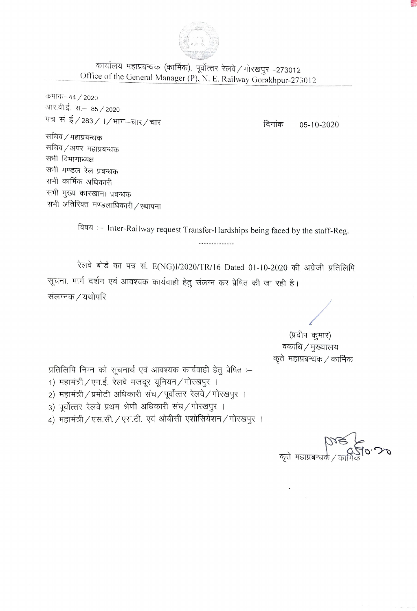

कार्यालय महाप्रबन्धक (कार्मिक), पूर्वोत्तर रेलवे / गोरखपुर -273012 Office of the General Manager (P), N. E. Railway Gorakhpur-273012

कमाक-44 / 2020 आर.वी.ई. सं.– 85 / 2020 पत्र सं ई/283/1/भाग-चार/चार

दिनांक  $05 - 10 - 2020$ 

सचिव / महाप्रबन्धक सचिव ⁄ अपर महाप्रबन्धक सभी विभागाध्यक्ष सभी मण्डल रेल प्रबन्धक सभी कार्मिक अधिकारी सभी मुख्य कारखाना प्रबन्धक सभी अतिरिक्त मण्डलाधिकारी / रथापना

> विषय :- Inter-Railway request Transfer-Hardships being faced by the staff-Reg. .....................

रेलवे बोर्ड का पत्र सं. E(NG)I/2020/TR/16 Dated 01-10-2020 की अग्रेजी प्रतिलिपि सूचना, मार्ग दर्शन एवं आवश्यक कार्यवाही हेतु संलग्न कर प्रेषित की जा रही है। संलग्नक / यथोपरि

> (प्रदीप कुमार) वकाधि / मुख्यालय कृते) महाप्रबन्धक / कार्मिक

प्रतिलिपि निम्न को सूचनार्थ एवं आवश्यक कार्यवाही हेतू प्रेषित :-

- 1) महामंत्री / एन.ई. रेलवे मजदूर यूनियन / गोरखपुर ।
- 2) महामंत्री / प्रमोटी अधिकारी संघ / पूर्वोत्तर रेलवे / गोरखपुर ।
- 3) पूर्वोत्तर रेलवे प्रथम श्रेणी अधिकारी संघ/गोरखपुर ।
- 4) महामंत्री / एस.सी. / एस.टी. एवं ओबीसी एशोसियेशन / गोरखपुर ।

कते महाप्रब